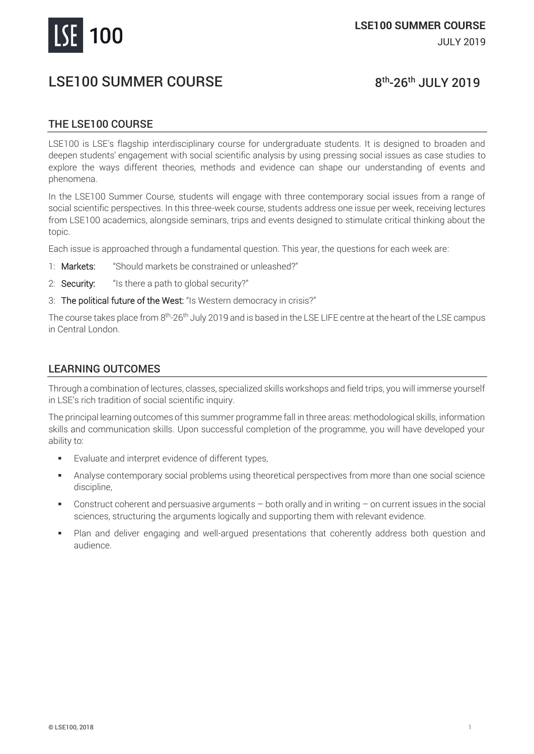

# LSE100 SUMMER COURSE

## <sup>th</sup>-26<sup>th</sup> JULY 2019

## THE LSE100 COURSE

LSE100 is LSE's flagship interdisciplinary course for undergraduate students. It is designed to broaden and deepen students' engagement with social scientific analysis by using pressing social issues as case studies to explore the ways different theories, methods and evidence can shape our understanding of events and phenomena.

In the LSE100 Summer Course, students will engage with three contemporary social issues from a range of social scientific perspectives. In this three-week course, students address one issue per week, receiving lectures from LSE100 academics, alongside seminars, trips and events designed to stimulate critical thinking about the topic.

Each issue is approached through a fundamental question. This year, the questions for each week are:

- 1: Markets: "Should markets be constrained or unleashed?"
- 2: **Security:** "Is there a path to global security?"
- 3: The political future of the West: "Is Western democracy in crisis?"

The course takes place from 8<sup>th</sup>-26<sup>th</sup> July 2019 and is based in the LSE LIFE centre at the heart of the LSE campus in Central London.

### LEARNING OUTCOMES

Through a combination of lectures, classes, specialized skills workshops and field trips, you will immerse yourself in LSE's rich tradition of social scientific inquiry.

The principal learning outcomes of this summer programme fall in three areas: methodological skills, information skills and communication skills. Upon successful completion of the programme, you will have developed your ability to:

- Evaluate and interpret evidence of different types,
- Analyse contemporary social problems using theoretical perspectives from more than one social science discipline,
- Construct coherent and persuasive arguments both orally and in writing on current issues in the social sciences, structuring the arguments logically and supporting them with relevant evidence.
- Plan and deliver engaging and well-argued presentations that coherently address both question and audience.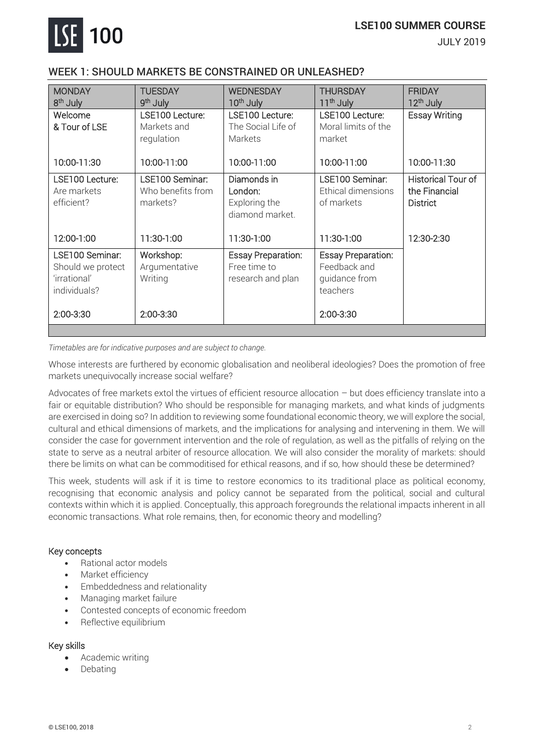

#### **LSE100 SUMMER COURSE**

JULY 2019

## WEEK 1: SHOULD MARKETS BE CONSTRAINED OR UNLEASHED?

| <b>MONDAY</b><br>8 <sup>th</sup> July                                | <b>TUESDAY</b><br>9 <sup>th</sup> July           | <b>WEDNESDAY</b><br>10 <sup>th</sup> July                      | <b>THURSDAY</b><br>11 <sup>th</sup> July                               | <b>FRIDAY</b><br>12 <sup>th</sup> July                        |
|----------------------------------------------------------------------|--------------------------------------------------|----------------------------------------------------------------|------------------------------------------------------------------------|---------------------------------------------------------------|
| Welcome<br>& Tour of LSE                                             | LSE100 Lecture:<br>Markets and<br>regulation     | LSE100 Lecture:<br>The Social Life of<br>Markets               | LSE100 Lecture:<br>Moral limits of the<br>market                       | <b>Essay Writing</b>                                          |
| 10:00-11:30                                                          | 10:00-11:00                                      | 10:00-11:00                                                    | 10:00-11:00                                                            | 10:00-11:30                                                   |
| LSE100 Lecture:<br>Are markets<br>efficient?                         | LSE100 Seminar:<br>Who benefits from<br>markets? | Diamonds in<br>London:<br>Exploring the<br>diamond market.     | LSE100 Seminar:<br>Ethical dimensions<br>of markets                    | <b>Historical Tour of</b><br>the Financial<br><b>District</b> |
| 12:00-1:00                                                           | 11:30-1:00                                       | 11:30-1:00                                                     | 11:30-1:00                                                             | 12:30-2:30                                                    |
| LSE100 Seminar:<br>Should we protect<br>'irrational'<br>individuals? | Workshop:<br>Argumentative<br>Writing            | <b>Essay Preparation:</b><br>Free time to<br>research and plan | <b>Essay Preparation:</b><br>Feedback and<br>guidance from<br>teachers |                                                               |
| 2:00-3:30                                                            | 2:00-3:30                                        |                                                                | 2:00-3:30                                                              |                                                               |
|                                                                      |                                                  |                                                                |                                                                        |                                                               |

*Timetables are for indicative purposes and are subject to change.*

Whose interests are furthered by economic globalisation and neoliberal ideologies? Does the promotion of free markets unequivocally increase social welfare?

Advocates of free markets extol the virtues of efficient resource allocation – but does efficiency translate into a fair or equitable distribution? Who should be responsible for managing markets, and what kinds of judgments are exercised in doing so? In addition to reviewing some foundational economic theory, we will explore the social, cultural and ethical dimensions of markets, and the implications for analysing and intervening in them. We will consider the case for government intervention and the role of regulation, as well as the pitfalls of relying on the state to serve as a neutral arbiter of resource allocation. We will also consider the morality of markets: should there be limits on what can be commoditised for ethical reasons, and if so, how should these be determined?

This week, students will ask if it is time to restore economics to its traditional place as political economy, recognising that economic analysis and policy cannot be separated from the political, social and cultural contexts within which it is applied. Conceptually, this approach foregrounds the relational impacts inherent in all economic transactions. What role remains, then, for economic theory and modelling?

#### Key concepts

- Rational actor models
- Market efficiency
- Embeddedness and relationality
- Managing market failure
- Contested concepts of economic freedom
- Reflective equilibrium

#### Key skills

- Academic writing
- **Debating**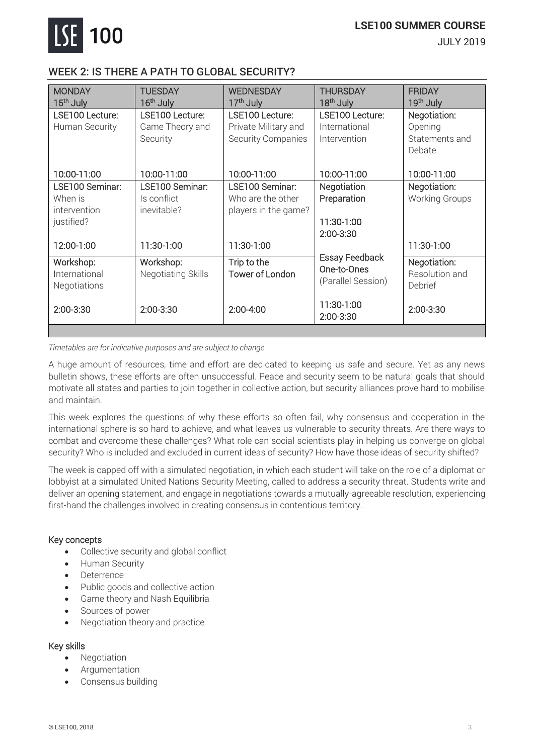

JULY 2019

## WEEK 2: IS THERE A PATH TO GLOBAL SECURITY?

| <b>MONDAY</b><br>15 <sup>th</sup> July            | <b>TUESDAY</b><br>16 <sup>th</sup> July | <b>WEDNESDAY</b><br>17 <sup>th</sup> July | <b>THURSDAY</b><br>18 <sup>th</sup> July                   | <b>FRIDAY</b><br>19 <sup>th</sup> July    |
|---------------------------------------------------|-----------------------------------------|-------------------------------------------|------------------------------------------------------------|-------------------------------------------|
| LSE100 Lecture:                                   | LSE100 Lecture:                         | LSE100 Lecture:                           | LSE100 Lecture:                                            | Negotiation:                              |
| Human Security                                    | Game Theory and                         | Private Military and                      | International                                              | Opening                                   |
|                                                   | Security                                | Security Companies                        | Intervention                                               | Statements and                            |
|                                                   |                                         |                                           |                                                            | Debate                                    |
| 10:00-11:00                                       | 10:00-11:00                             | 10:00-11:00                               | 10:00-11:00                                                | 10:00-11:00                               |
| LSE100 Seminar:                                   | LSE100 Seminar:                         | LSE100 Seminar:                           | Negotiation                                                | Negotiation:                              |
| When is                                           | Is conflict                             | Who are the other                         | Preparation                                                | <b>Working Groups</b>                     |
| intervention                                      | inevitable?                             | players in the game?                      |                                                            |                                           |
| justified?                                        |                                         |                                           | 11:30-1:00                                                 |                                           |
|                                                   |                                         |                                           | 2:00-3:30                                                  |                                           |
| 12:00-1:00                                        | 11:30-1:00                              | 11:30-1:00                                |                                                            | 11:30-1:00                                |
| Workshop:<br>International<br><b>Negotiations</b> | Workshop:<br>Negotiating Skills         | Trip to the<br>Tower of London            | <b>Essay Feedback</b><br>One-to-Ones<br>(Parallel Session) | Negotiation:<br>Resolution and<br>Debrief |
| 2:00-3:30                                         | 2:00-3:30                               | $2:00-4:00$                               | 11:30-1:00<br>2:00-3:30                                    | 2:00-3:30                                 |
|                                                   |                                         |                                           |                                                            |                                           |

*Timetables are for indicative purposes and are subject to change.*

A huge amount of resources, time and effort are dedicated to keeping us safe and secure. Yet as any news bulletin shows, these efforts are often unsuccessful. Peace and security seem to be natural goals that should motivate all states and parties to join together in collective action, but security alliances prove hard to mobilise and maintain.

This week explores the questions of why these efforts so often fail, why consensus and cooperation in the international sphere is so hard to achieve, and what leaves us vulnerable to security threats. Are there ways to combat and overcome these challenges? What role can social scientists play in helping us converge on global security? Who is included and excluded in current ideas of security? How have those ideas of security shifted?

The week is capped off with a simulated negotiation, in which each student will take on the role of a diplomat or lobbyist at a simulated United Nations Security Meeting, called to address a security threat. Students write and deliver an opening statement, and engage in negotiations towards a mutually-agreeable resolution, experiencing first-hand the challenges involved in creating consensus in contentious territory.

#### Key concepts

- Collective security and global conflict
- Human Security
- Deterrence
- Public goods and collective action
- Game theory and Nash Equilibria
- Sources of power
- Negotiation theory and practice

#### Key skills

- **Negotiation**
- **Argumentation**
- Consensus building